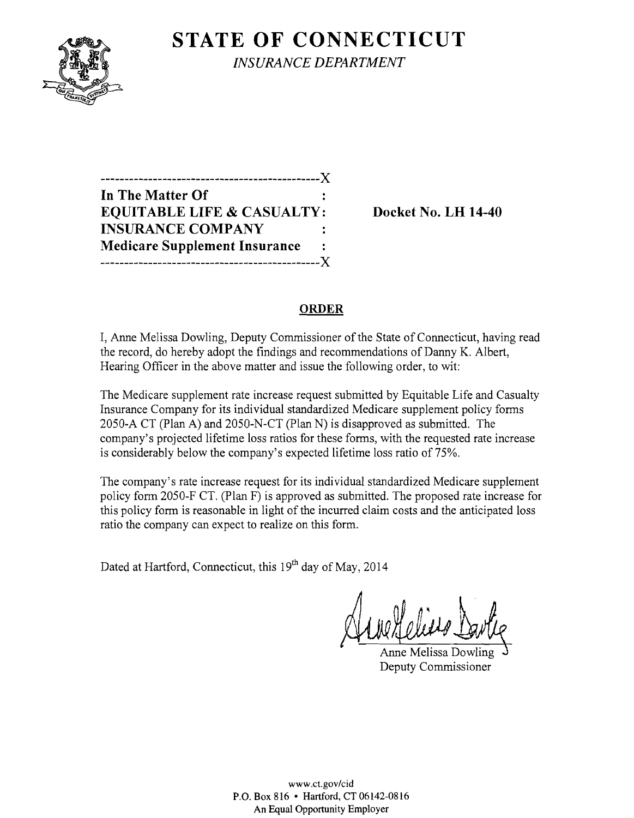

**STATE OF CONNECTICUT** 

*INSURANCE DEPARTMENT* 

| ------------------------X             |    |
|---------------------------------------|----|
| In The Matter Of                      |    |
| <b>EQUITABLE LIFE &amp; CASUALTY:</b> |    |
| <b>INSURANCE COMPANY</b>              |    |
| <b>Medicare Supplement Insurance</b>  | ٠. |
|                                       |    |

**EQUIRE PO. LH 14-40** 

# **ORDER**

I, Anne Melissa Dowling, Deputy Commissioner of the State of Connecticut, having read the record, do hereby adopt the findings and recommendations of Danny K. Albert, Hearing Officer in the above matter and issue the following order, to wit:

The Medicare supplement rate increase request submitted by Equitable Life and Casualty Insurance Company for its individual standardized Medicare supplement policy forms 2050-A CT (Plan A) and 2050-N-CT (Plan N) is disapproved as submitted. The company's projected lifetime loss ratios for these forms, with the requested rate increase is considerably below the company's expected lifetime loss ratio of 75%.

The company's rate increase request for its individual standardized Medicare supplement policy form 2050-F CT. (Plan F) is approved as submitted. The proposed rate increase for this policy form is reasonable in light of the incurred claim costs and the anticipated loss ratio the company can expect to realize on this form.

Dated at Hartford, Connecticut, this 19<sup>th</sup> day of May, 2014

Anne Melissa Dowling Deputy Commissioner

www.ct.gov/cid P.O. Box 816 • Hartford, CT 06142-0816 An Equal Opportunity Employer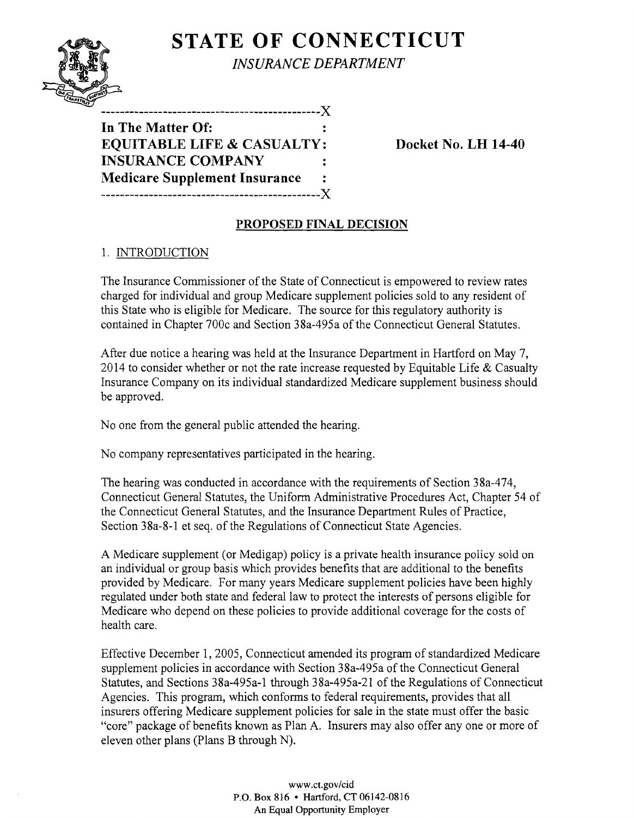# **STATE OF CONNECTICUT**  $N\sum_{N\leq N}\sum_{i=1}^{N}\sum_{i=1}^{N}\sum_{j=1}^{N}\sum_{j=1}^{N}\sum_{j=1}^{N}\sum_{j=1}^{N}\sum_{j=1}^{N}\sum_{j=1}^{N}\sum_{j=1}^{N}\sum_{j=1}^{N}\sum_{j=1}^{N}\sum_{j=1}^{N}\sum_{j=1}^{N}\sum_{j=1}^{N}\sum_{j=1}^{N}\sum_{j=1}^{N}\sum_{j=1}^{N}\sum_{j=1}^{N}\sum_{j=1}^{N}\sum_{j=1}^{N}\sum_{j=1}^{N}\sum_{j=1}^{N}\sum_{j=1}^{N}\sum_{j$



*INSURANCE DEPARTMENT* 

**In The Matter Of: EQUITABLE LIFE & CASUALTY: Docket No. LH 14-40 INSURANCE COMPANY Medicare Supplement Insurance**  ----------------------------------------------)(

# **PROPOSED FINAL DECISION**

### 1. INTRODUCTION

The Insurance Commissioner of the State of Connecticut is empowered to review rates charged for individual and group Medicare supplement policies sold to any resident of this State who is eligible for Medicare. The source for this regulatory authority is contained in Chapter 700c and Section 38a-495a of the Connecticut General Statutes.

After due notice a hearing was held at the Insurance Department in Hartford on May 7, 2014 to consider whether or not the rate increase requested by Equitable Life & Casualty Insurance Company on its individual standardized Medicare supplement business should be approved.

No one from the general public attended the hearing.

No company representatives participated in the hearing.

The hearing was conducted in accordance with the requirements of Section 38a-474, Connecticut General Statutes, the Uniform Administrative Procedures Act, Chapter 54 of the Connecticut General Statutes, and the Insurance Department Rules of Practice, Section 38a-8-1 et seq. of the Regulations of Connecticut State Agencies.

A Medicare supplement (or Medigap) policy is a private health insurance policy sold on an individual or group basis which provides benefits that are additional to the benefits provided by Medicare. For many years Medicare supplement policies have been highly regulated under both state and federal law to protect the interests of persons eligible for Medicare who depend on these policies to provide additional coverage for the costs of health care.

Effective December 1, 2005, Connecticut amended its program of standardized Medicare supplement policies in accordance with Section 38a-495a of the Connecticut General Statutes, and Sections 38a-495a-1 through 38a-495a-21 of the Regulations of Connecticut Agencies. This program, which conforms to federal requirements, provides that all insurers offering Medicare supplement policies for sale in the state must offer the basic "core" package of benefits known as Plan A. Insurers may also offer anyone or more of eleven other plans (Plans B through N).

> www.ct.gov/cid P.O. Box 816 • Hartford, CT 06142-0816 An Equal Opportunity Employer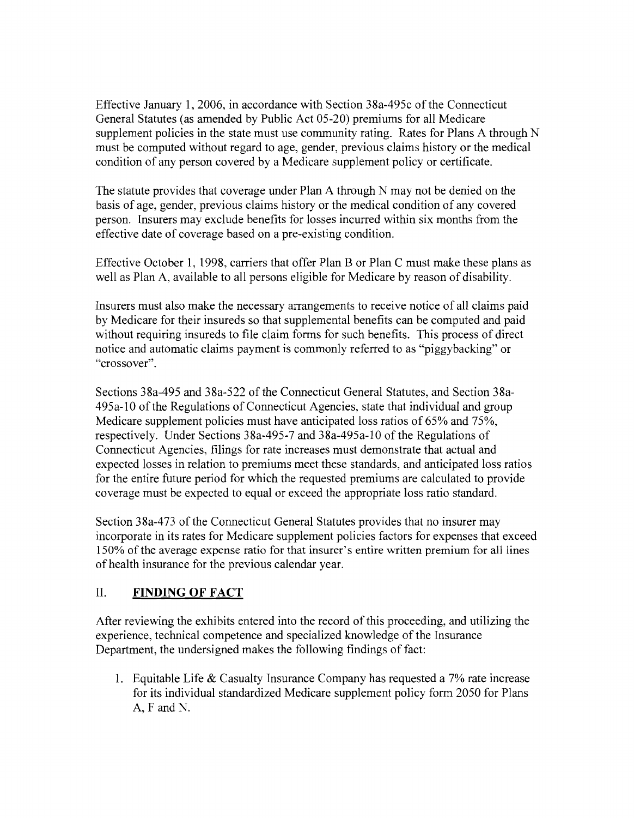Effective January 1, 2006, in accordance with Section 38a-495c of the Connecticut General Statutes (as amended by Public Act 05-20) premiums for all Medicare supplement policies in the state must use community rating. Rates for Plans A through N must be computed without regard to age, gender, previous claims history or the medical condition of any person covered by a Medicare supplement policy or certificate.

The statute provides that coverage under Plan A through N may not be denied on the basis of age, gender, previous claims history or the medical condition of any covered person. Insurers may exclude benefits for losses incurred within six months from the effective date of coverage based on a pre-existing condition.

Effective October 1, 1998, carriers that offer Plan B or Plan C must make these plans as well as Plan A, available to all persons eligible for Medicare by reason of disability.

Insurers must also make the necessary arrangements to receive notice of all claims paid by Medicare for their insureds so that supplemental benefits can be computed and paid without requiring insureds to file claim forms for such benefits. This process of direct notice and automatic claims payment is commonly referred to as "piggybacking" or "crossover".

Sections 38a-495 and 38a-522 of the Connecticut General Statutes, and Section 38a-495a-l0 ofthe Regulations of Connecticut Agencies, state that individual and group Medicare supplement policies must have anticipated loss ratios of 65% and 75%, respectively. Under Sections 38a-495-7 and 38a-495a-l0 of the Regulations of Connecticut Agencies, filings for rate increases must demonstrate that actual and expected losses in relation to premiums meet these standards, and anticipated loss ratios for the entire future period for which the requested premiums are calculated to provide coverage must be expected to equal or exceed the appropriate loss ratio standard.

Section 38a-473 of the Connecticut General Statutes provides that no insurer may incorporate in its rates for Medicare supplement policies factors for expenses that exceed 150% of the average expense ratio for that insurer's entire written premium for all lines of health insurance for the previous calendar year.

# II. **FINDING OF FACT**

After reviewing the exhibits entered into the record of this proceeding, and utilizing the experience, technical competence and specialized knowledge of the Insurance Department, the undersigned makes the following findings of fact:

1. Equitable Life  $&$  Casualty Insurance Company has requested a 7% rate increase for its individual standardized Medicare supplement policy form 2050 for Plans A, F and N.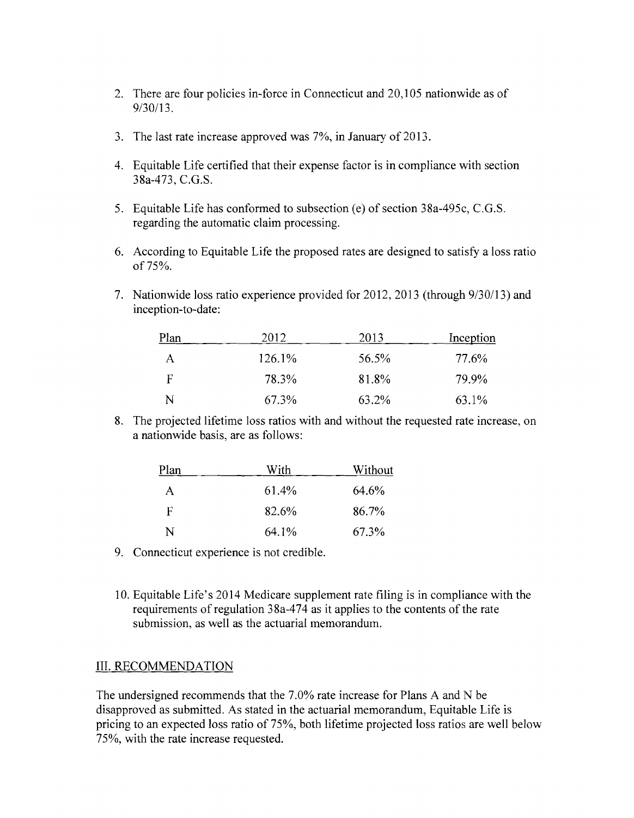- 2. There are four policies in-force in Connecticut and 20,105 nationwide as of 9/30/13.
- 3. The last rate increase approved was 7%, in January of 2013.
- 4. Equitable Life certified that their expense factor is in compliance with section 38a-473, C.G.S.
- 5. Equitable Life has conformed to subsection (e) of section 38a-495c, C.G.S. regarding the automatic claim processing.
- 6. According to Equitable Life the proposed rates are designed to satisfy a loss ratio of 75%.
- 7. Nationwide loss ratio experience provided for 2012, 2013 (through 9/30/13) and inception-to-date:

| Plan | 2012   | 2013  | Inception |
|------|--------|-------|-----------|
| А    | 126.1% | 56.5% | 77.6%     |
| F    | 78.3%  | 81.8% | 79.9%     |
| N    | 67.3%  | 63.2% | 63.1%     |

8. The projected lifetime loss ratios with and without the requested rate increase, on a nationwide basis, are as follows:

| Plan | With  | Without |
|------|-------|---------|
| A    | 61.4% | 64.6%   |
| F    | 82.6% | 86.7%   |
| N    | 64.1% | 67.3%   |

- 9. Connecticut experience is not credible.
- 10. Equitable Life's 2014 Medicare supplement rate filing is in compliance with the requirements of regulation 38a-474 as it applies to the contents of the rate submission, as well as the actuarial memorandum.

#### III. RECOMMENDATION

The undersigned recommends that the 7.0% rate increase for Plans A and N be disapproved as submitted. As stated in the actuarial memorandum, Equitable Life is pricing to an expected loss ratio of 75%, both lifetime projected loss ratios are well below 75%, with the rate increase requested.